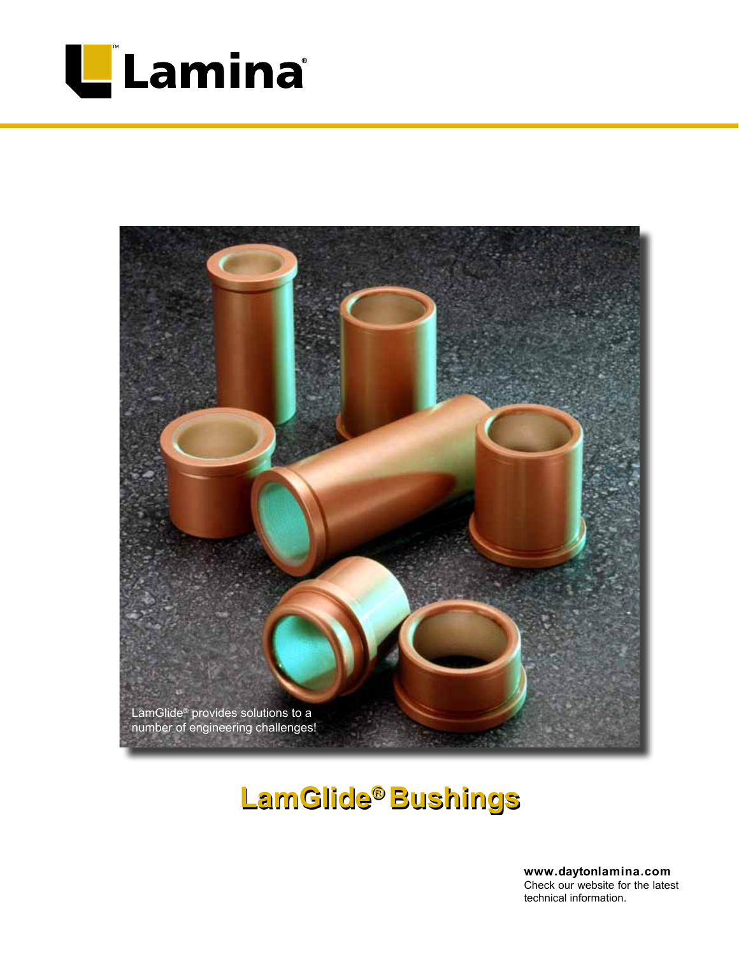



# **LamGlide® Bushings**

**www.daytonlamina.com** Check our website for the latest technical information.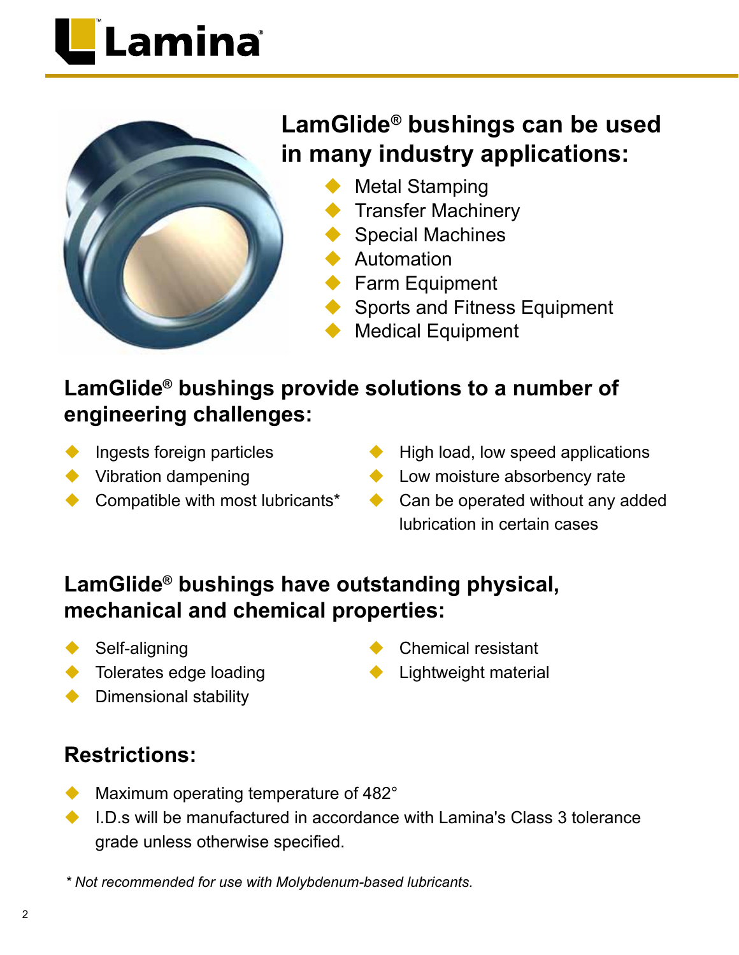# Lamina®



## **LamGlide® bushings can be used in many industry applications:**

- **Metal Stamping**
- **Transfer Machinery**
- **Special Machines**
- **Automation**
- $\blacktriangleright$  Farm Equipment
- Sports and Fitness Equipment
- **Medical Equipment**

## **LamGlide® bushings provide solutions to a number of engineering challenges:**

- Ingests foreign particles
- $\blacktriangleright$  Vibration dampening
- Compatible with most lubricants\*
- $\blacklozenge$  High load, low speed applications
- $\blacklozenge$  Low moisture absorbency rate
- $\triangle$  Can be operated without any added lubrication in certain cases

#### **LamGlide® bushings have outstanding physical, mechanical and chemical properties:**

- $\blacklozenge$  Self-aligning
- $\blacklozenge$  Tolerates edge loading
- $\blacklozenge$  Dimensional stability
- Chemical resistant
- **Lightweight material**

### **Restrictions:**

- $\blacklozenge$  Maximum operating temperature of 482 $^{\circ}$
- $\bullet$  LD s will be manufactured in accordance with Lamina's Class 3 tolerance grade unless otherwise specified.

*\* Not recommended for use with Molybdenum-based lubricants.*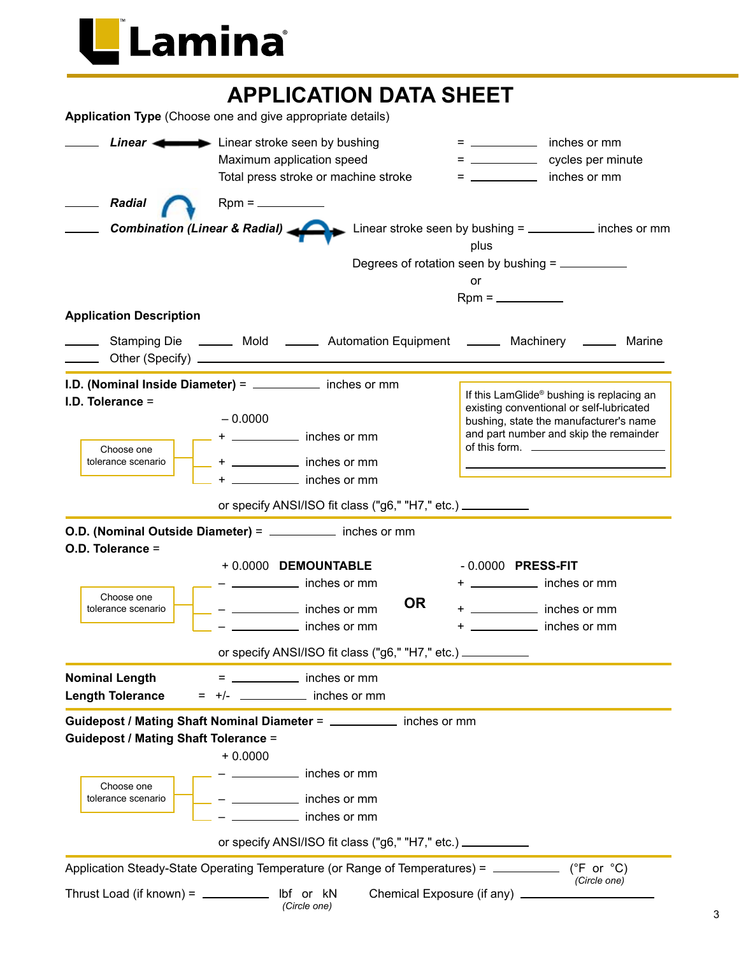